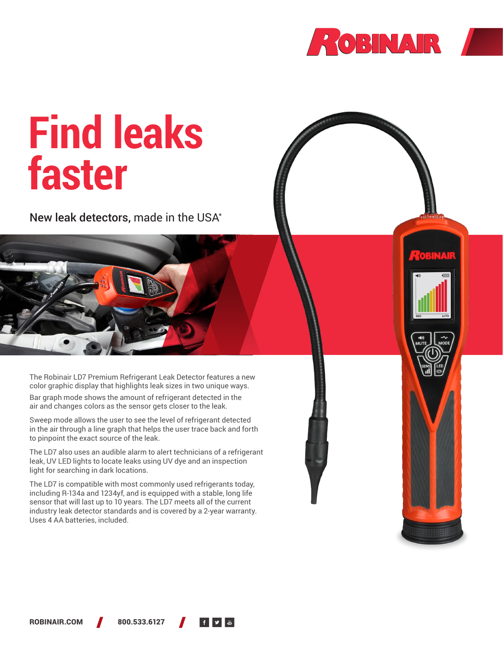



# **Find leaks faster**

New leak detectors, made in the USA\*

The Robinair LD7 Premium Refrigerant Leak Detector features a new color graphic display that highlights leak sizes in two unique ways.

Bar graph mode shows the amount of refrigerant detected in the air and changes colors as the sensor gets closer to the leak.

Sweep mode allows the user to see the level of refrigerant detected in the air through a line graph that helps the user trace back and forth to pinpoint the exact source of the leak.

The LD7 also uses an audible alarm to alert technicians of a refrigerant leak, UV LED lights to locate leaks using UV dye and an inspection light for searching in dark locations.

The LD7 is compatible with most commonly used refrigerants today, including R-134a and 1234yf, and is equipped with a stable, long life sensor that will last up to 10 years. The LD7 meets all of the current industry leak detector standards and is covered by a 2-year warranty. Uses 4 AA batteries, included.

ROBINAIR.COM 800.533.6127

▕▕▏'▘▌▓▏